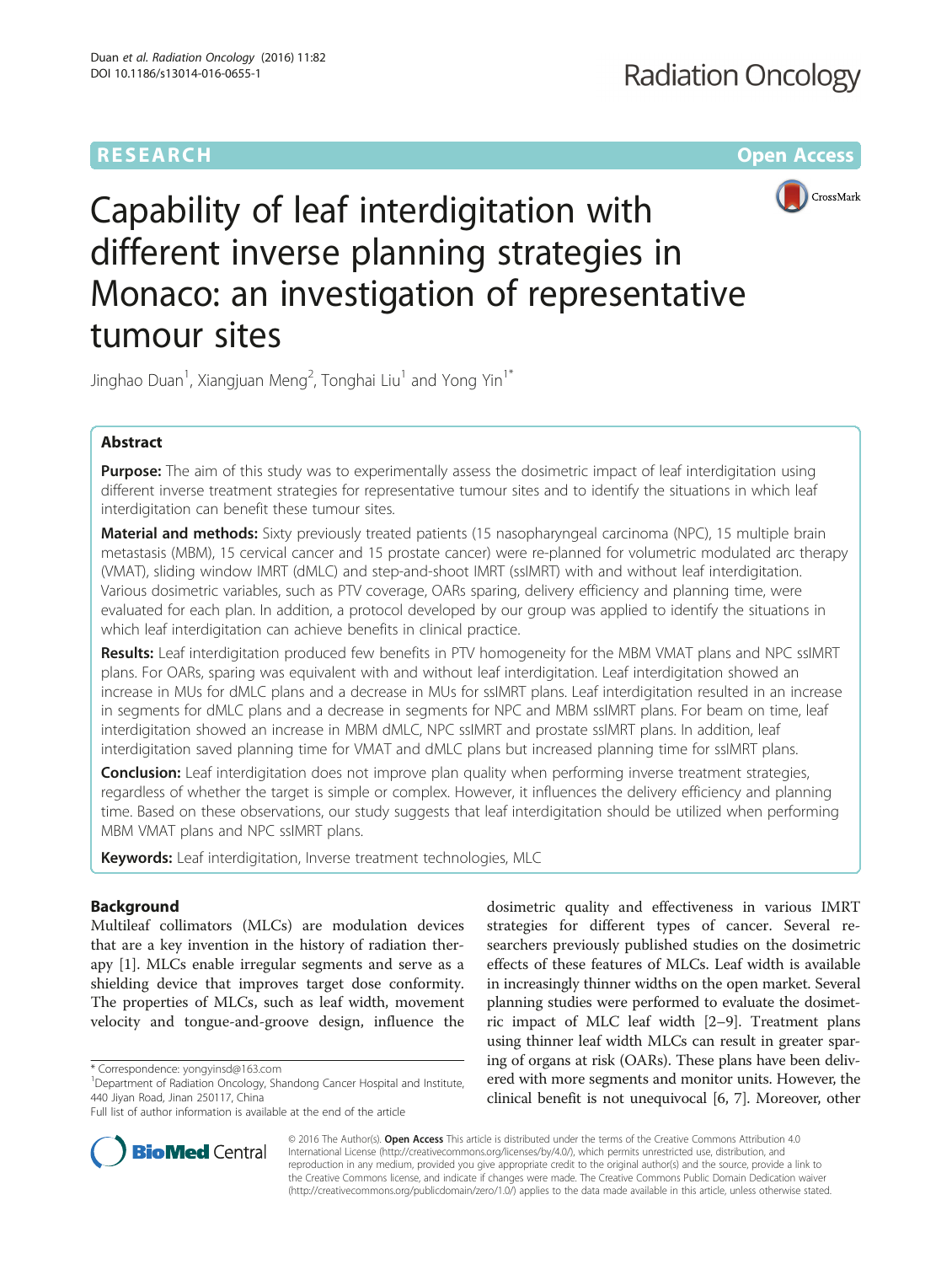# **RESEARCH CHE Open Access**



Capability of leaf interdigitation with different inverse planning strategies in Monaco: an investigation of representative tumour sites

Jinghao Duan<sup>1</sup>, Xiangjuan Meng<sup>2</sup>, Tonghai Liu<sup>1</sup> and Yong Yin<sup>1\*</sup>

# Abstract

Purpose: The aim of this study was to experimentally assess the dosimetric impact of leaf interdigitation using different inverse treatment strategies for representative tumour sites and to identify the situations in which leaf interdigitation can benefit these tumour sites.

**Material and methods:** Sixty previously treated patients (15 nasopharyngeal carcinoma (NPC), 15 multiple brain metastasis (MBM), 15 cervical cancer and 15 prostate cancer) were re-planned for volumetric modulated arc therapy (VMAT), sliding window IMRT (dMLC) and step-and-shoot IMRT (ssIMRT) with and without leaf interdigitation. Various dosimetric variables, such as PTV coverage, OARs sparing, delivery efficiency and planning time, were evaluated for each plan. In addition, a protocol developed by our group was applied to identify the situations in which leaf interdigitation can achieve benefits in clinical practice.

Results: Leaf interdigitation produced few benefits in PTV homogeneity for the MBM VMAT plans and NPC sslMRT plans. For OARs, sparing was equivalent with and without leaf interdigitation. Leaf interdigitation showed an increase in MUs for dMLC plans and a decrease in MUs for ssIMRT plans. Leaf interdigitation resulted in an increase in segments for dMLC plans and a decrease in segments for NPC and MBM ssIMRT plans. For beam on time, leaf interdigitation showed an increase in MBM dMLC, NPC ssIMRT and prostate ssIMRT plans. In addition, leaf interdigitation saved planning time for VMAT and dMLC plans but increased planning time for ssIMRT plans.

**Conclusion:** Leaf interdigitation does not improve plan quality when performing inverse treatment strategies, regardless of whether the target is simple or complex. However, it influences the delivery efficiency and planning time. Based on these observations, our study suggests that leaf interdigitation should be utilized when performing MBM VMAT plans and NPC ssIMRT plans.

Keywords: Leaf interdigitation, Inverse treatment technologies, MLC

# Background

Multileaf collimators (MLCs) are modulation devices that are a key invention in the history of radiation therapy [[1](#page-6-0)]. MLCs enable irregular segments and serve as a shielding device that improves target dose conformity. The properties of MLCs, such as leaf width, movement velocity and tongue-and-groove design, influence the

dosimetric quality and effectiveness in various IMRT strategies for different types of cancer. Several researchers previously published studies on the dosimetric effects of these features of MLCs. Leaf width is available in increasingly thinner widths on the open market. Several planning studies were performed to evaluate the dosimetric impact of MLC leaf width [[2](#page-6-0)–[9](#page-6-0)]. Treatment plans using thinner leaf width MLCs can result in greater sparing of organs at risk (OARs). These plans have been delivered with more segments and monitor units. However, the clinical benefit is not unequivocal [\[6, 7](#page-6-0)]. Moreover, other



© 2016 The Author(s). Open Access This article is distributed under the terms of the Creative Commons Attribution 4.0 International License [\(http://creativecommons.org/licenses/by/4.0/](http://creativecommons.org/licenses/by/4.0/)), which permits unrestricted use, distribution, and reproduction in any medium, provided you give appropriate credit to the original author(s) and the source, provide a link to the Creative Commons license, and indicate if changes were made. The Creative Commons Public Domain Dedication waiver [\(http://creativecommons.org/publicdomain/zero/1.0/](http://creativecommons.org/publicdomain/zero/1.0/)) applies to the data made available in this article, unless otherwise stated.

<sup>\*</sup> Correspondence: [yongyinsd@163.com](mailto:yongyinsd@163.com) <sup>1</sup>

<sup>&</sup>lt;sup>1</sup>Department of Radiation Oncology, Shandong Cancer Hospital and Institute, 440 Jiyan Road, Jinan 250117, China

Full list of author information is available at the end of the article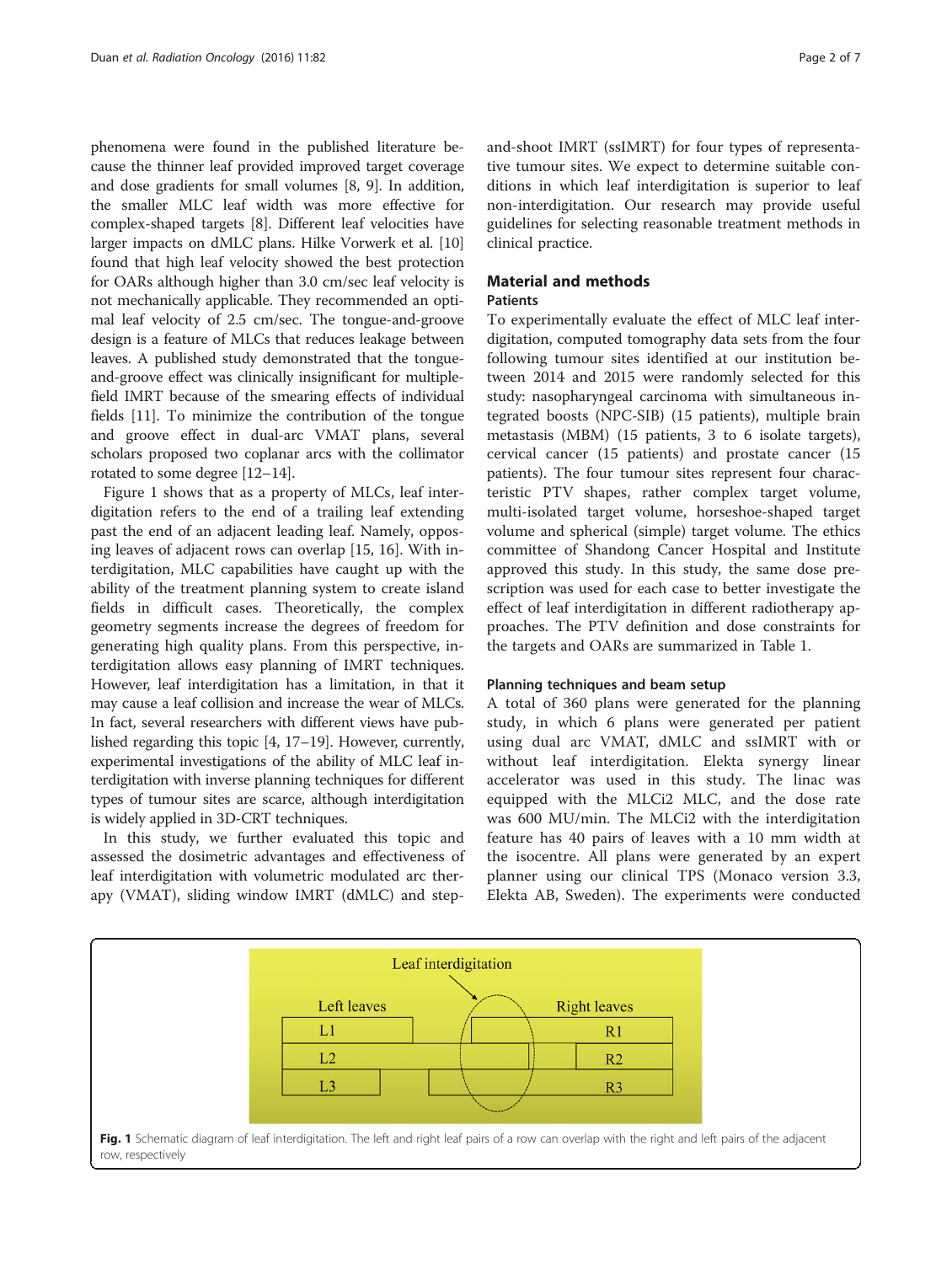phenomena were found in the published literature because the thinner leaf provided improved target coverage and dose gradients for small volumes [\[8](#page-6-0), [9](#page-6-0)]. In addition, the smaller MLC leaf width was more effective for complex-shaped targets [[8\]](#page-6-0). Different leaf velocities have larger impacts on dMLC plans. Hilke Vorwerk et al. [[10](#page-6-0)] found that high leaf velocity showed the best protection for OARs although higher than 3.0 cm/sec leaf velocity is not mechanically applicable. They recommended an optimal leaf velocity of 2.5 cm/sec. The tongue-and-groove design is a feature of MLCs that reduces leakage between leaves. A published study demonstrated that the tongueand-groove effect was clinically insignificant for multiplefield IMRT because of the smearing effects of individual fields [\[11\]](#page-6-0). To minimize the contribution of the tongue and groove effect in dual-arc VMAT plans, several scholars proposed two coplanar arcs with the collimator rotated to some degree [\[12](#page-6-0)–[14](#page-6-0)].

Figure 1 shows that as a property of MLCs, leaf interdigitation refers to the end of a trailing leaf extending past the end of an adjacent leading leaf. Namely, opposing leaves of adjacent rows can overlap [\[15, 16\]](#page-6-0). With interdigitation, MLC capabilities have caught up with the ability of the treatment planning system to create island fields in difficult cases. Theoretically, the complex geometry segments increase the degrees of freedom for generating high quality plans. From this perspective, interdigitation allows easy planning of IMRT techniques. However, leaf interdigitation has a limitation, in that it may cause a leaf collision and increase the wear of MLCs. In fact, several researchers with different views have published regarding this topic [\[4](#page-6-0), [17](#page-6-0)–[19](#page-6-0)]. However, currently, experimental investigations of the ability of MLC leaf interdigitation with inverse planning techniques for different types of tumour sites are scarce, although interdigitation is widely applied in 3D-CRT techniques.

In this study, we further evaluated this topic and assessed the dosimetric advantages and effectiveness of leaf interdigitation with volumetric modulated arc therapy (VMAT), sliding window IMRT (dMLC) and stepand-shoot IMRT (ssIMRT) for four types of representative tumour sites. We expect to determine suitable conditions in which leaf interdigitation is superior to leaf non-interdigitation. Our research may provide useful guidelines for selecting reasonable treatment methods in clinical practice.

# Material and methods

#### **Patients**

To experimentally evaluate the effect of MLC leaf interdigitation, computed tomography data sets from the four following tumour sites identified at our institution between 2014 and 2015 were randomly selected for this study: nasopharyngeal carcinoma with simultaneous integrated boosts (NPC-SIB) (15 patients), multiple brain metastasis (MBM) (15 patients, 3 to 6 isolate targets), cervical cancer (15 patients) and prostate cancer (15 patients). The four tumour sites represent four characteristic PTV shapes, rather complex target volume, multi-isolated target volume, horseshoe-shaped target volume and spherical (simple) target volume. The ethics committee of Shandong Cancer Hospital and Institute approved this study. In this study, the same dose prescription was used for each case to better investigate the effect of leaf interdigitation in different radiotherapy approaches. The PTV definition and dose constraints for the targets and OARs are summarized in Table [1.](#page-2-0)

#### Planning techniques and beam setup

A total of 360 plans were generated for the planning study, in which 6 plans were generated per patient using dual arc VMAT, dMLC and ssIMRT with or without leaf interdigitation. Elekta synergy linear accelerator was used in this study. The linac was equipped with the MLCi2 MLC, and the dose rate was 600 MU/min. The MLCi2 with the interdigitation feature has 40 pairs of leaves with a 10 mm width at the isocentre. All plans were generated by an expert planner using our clinical TPS (Monaco version 3.3, Elekta AB, Sweden). The experiments were conducted

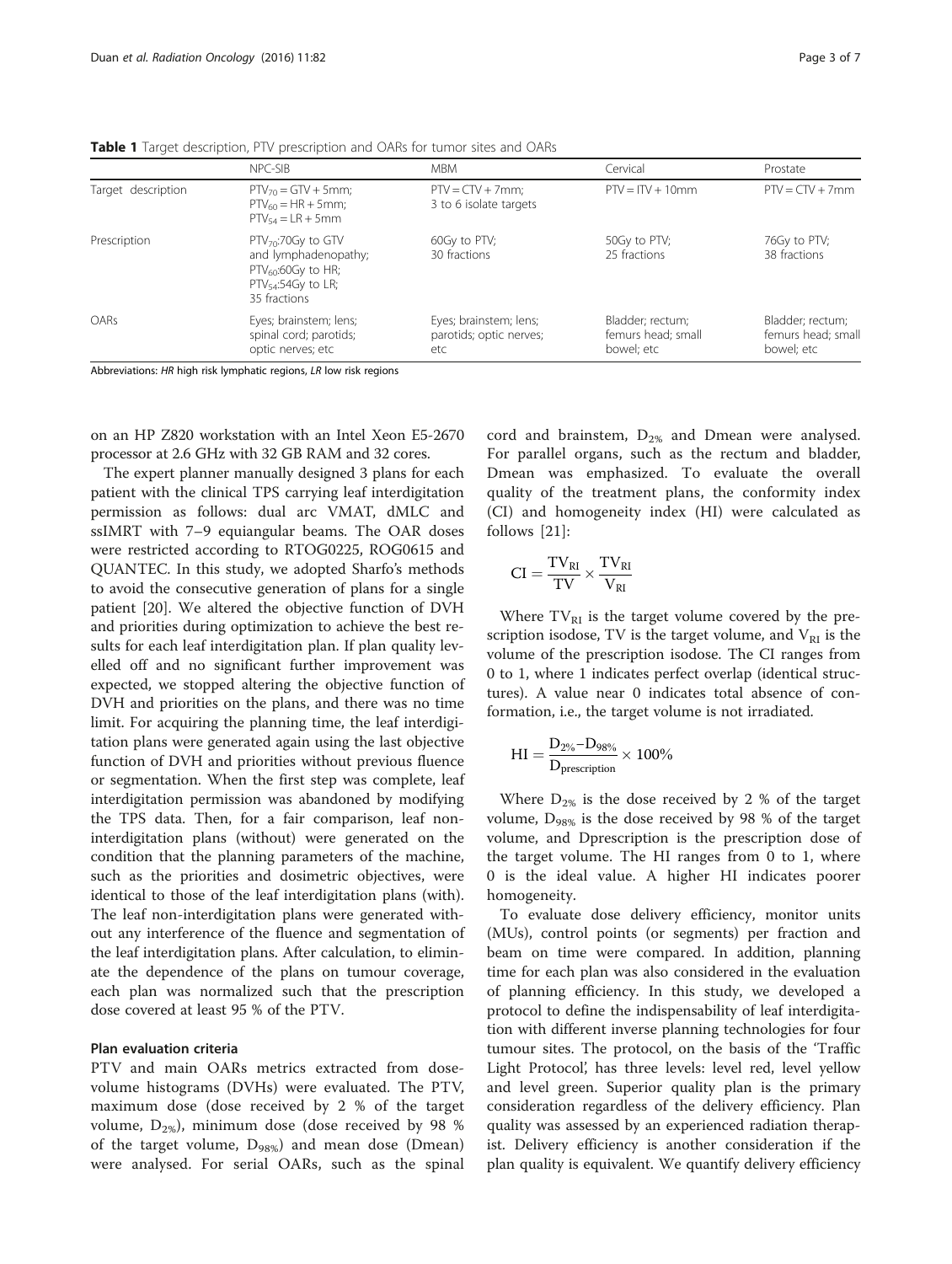|                    | NPC-SIB                                                                                                             | <b>MBM</b>                                               | Cervical                                             | Prostate                                             |
|--------------------|---------------------------------------------------------------------------------------------------------------------|----------------------------------------------------------|------------------------------------------------------|------------------------------------------------------|
| Target description | $PTV_{70} = GTV + 5mm;$<br>$PTV_{60} = HR + 5mm;$<br>$PYV_{54} = LR + 5mm$                                          | $PTV = CTV + 7mm;$<br>3 to 6 isolate targets             | $PTV = ITV + 10mm$                                   | $PTV = CTV + 7mm$                                    |
| Prescription       | $PTV_{70}:70Gy$ to GTV<br>and lymphadenopathy;<br>$PTV_{60}$ :60Gy to HR;<br>$PTV_{54}:54Gv$ to LR;<br>35 fractions | 60Gy to PTV;<br>30 fractions                             | 50Gy to PTV;<br>25 fractions                         | 76Gy to PTV;<br>38 fractions                         |
| OARs               | Eyes; brainstem; lens;<br>spinal cord; parotids;<br>optic nerves; etc                                               | Eyes; brainstem; lens;<br>parotids; optic nerves;<br>etc | Bladder; rectum;<br>femurs head; small<br>bowel; etc | Bladder; rectum;<br>femurs head; small<br>bowel; etc |

<span id="page-2-0"></span>Table 1 Target description, PTV prescription and OARs for tumor sites and OARs

Abbreviations: HR high risk lymphatic regions, LR low risk regions

on an HP Z820 workstation with an Intel Xeon E5-2670 processor at 2.6 GHz with 32 GB RAM and 32 cores.

The expert planner manually designed 3 plans for each patient with the clinical TPS carrying leaf interdigitation permission as follows: dual arc VMAT, dMLC and ssIMRT with 7–9 equiangular beams. The OAR doses were restricted according to RTOG0225, ROG0615 and QUANTEC. In this study, we adopted Sharfo's methods to avoid the consecutive generation of plans for a single patient [\[20](#page-6-0)]. We altered the objective function of DVH and priorities during optimization to achieve the best results for each leaf interdigitation plan. If plan quality levelled off and no significant further improvement was expected, we stopped altering the objective function of DVH and priorities on the plans, and there was no time limit. For acquiring the planning time, the leaf interdigitation plans were generated again using the last objective function of DVH and priorities without previous fluence or segmentation. When the first step was complete, leaf interdigitation permission was abandoned by modifying the TPS data. Then, for a fair comparison, leaf noninterdigitation plans (without) were generated on the condition that the planning parameters of the machine, such as the priorities and dosimetric objectives, were identical to those of the leaf interdigitation plans (with). The leaf non-interdigitation plans were generated without any interference of the fluence and segmentation of the leaf interdigitation plans. After calculation, to eliminate the dependence of the plans on tumour coverage, each plan was normalized such that the prescription dose covered at least 95 % of the PTV.

#### Plan evaluation criteria

PTV and main OARs metrics extracted from dosevolume histograms (DVHs) were evaluated. The PTV, maximum dose (dose received by 2 % of the target volume,  $D_{2\%}$ ), minimum dose (dose received by 98 % of the target volume,  $D_{98\%}$  and mean dose (Dmean) were analysed. For serial OARs, such as the spinal

cord and brainstem,  $D_{2\%}$  and Dmean were analysed. For parallel organs, such as the rectum and bladder, Dmean was emphasized. To evaluate the overall quality of the treatment plans, the conformity index (CI) and homogeneity index (HI) were calculated as follows [\[21](#page-6-0)]:

$$
CI = \frac{TV_{RI}}{TV} \times \frac{TV_{RI}}{V_{RI}}
$$

Where  $TV_{RI}$  is the target volume covered by the prescription isodose, TV is the target volume, and  $V_{RI}$  is the volume of the prescription isodose. The CI ranges from 0 to 1, where 1 indicates perfect overlap (identical structures). A value near 0 indicates total absence of conformation, i.e., the target volume is not irradiated.

$$
HI = \frac{D_{2\%} - D_{98\%}}{D_{prescription}} \times 100\%
$$

Where  $D_{2\%}$  is the dose received by 2 % of the target volume,  $D_{98\%}$  is the dose received by 98 % of the target volume, and Dprescription is the prescription dose of the target volume. The HI ranges from 0 to 1, where 0 is the ideal value. A higher HI indicates poorer homogeneity.

To evaluate dose delivery efficiency, monitor units (MUs), control points (or segments) per fraction and beam on time were compared. In addition, planning time for each plan was also considered in the evaluation of planning efficiency. In this study, we developed a protocol to define the indispensability of leaf interdigitation with different inverse planning technologies for four tumour sites. The protocol, on the basis of the 'Traffic Light Protocol', has three levels: level red, level yellow and level green. Superior quality plan is the primary consideration regardless of the delivery efficiency. Plan quality was assessed by an experienced radiation therapist. Delivery efficiency is another consideration if the plan quality is equivalent. We quantify delivery efficiency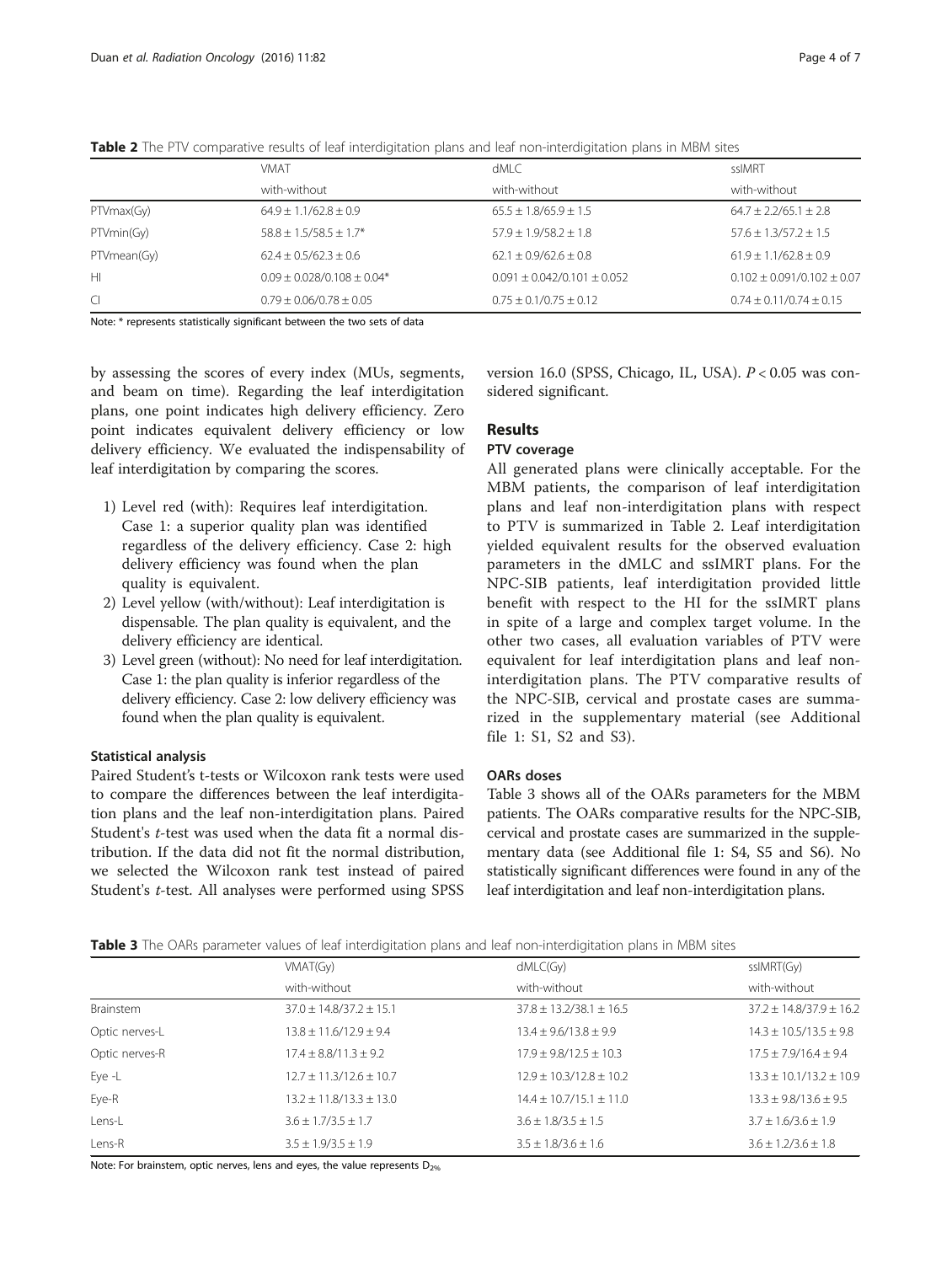|                | <b>VMAT</b>                      | dMLC                              | ssIMRT                           |
|----------------|----------------------------------|-----------------------------------|----------------------------------|
|                | with-without                     | with-without                      | with-without                     |
| PTVmax(Gy)     | $64.9 \pm 1.1/62.8 \pm 0.9$      | $65.5 \pm 1.8/65.9 \pm 1.5$       | $64.7 \pm 2.2/65.1 \pm 2.8$      |
| PTVmin(Gy)     | $58.8 \pm 1.5/58.5 \pm 1.7$ *    | $57.9 \pm 1.9/58.2 \pm 1.8$       | $57.6 \pm 1.3/57.2 \pm 1.5$      |
| PTVmean(Gy)    | $62.4 \pm 0.5/62.3 \pm 0.6$      | $62.1 \pm 0.9/62.6 \pm 0.8$       | $61.9 \pm 1.1/62.8 \pm 0.9$      |
| H <sub>1</sub> | $0.09 \pm 0.028/0.108 \pm 0.04*$ | $0.091 \pm 0.042/0.101 \pm 0.052$ | $0.102 \pm 0.091/0.102 \pm 0.07$ |
| CI             | $0.79 \pm 0.06/0.78 \pm 0.05$    | $0.75 \pm 0.1/0.75 \pm 0.12$      | $0.74 \pm 0.11/0.74 \pm 0.15$    |

Table 2 The PTV comparative results of leaf interdigitation plans and leaf non-interdigitation plans in MBM sites

Note: \* represents statistically significant between the two sets of data

by assessing the scores of every index (MUs, segments, and beam on time). Regarding the leaf interdigitation plans, one point indicates high delivery efficiency. Zero point indicates equivalent delivery efficiency or low delivery efficiency. We evaluated the indispensability of leaf interdigitation by comparing the scores.

- 1) Level red (with): Requires leaf interdigitation. Case 1: a superior quality plan was identified regardless of the delivery efficiency. Case 2: high delivery efficiency was found when the plan quality is equivalent.
- 2) Level yellow (with/without): Leaf interdigitation is dispensable. The plan quality is equivalent, and the delivery efficiency are identical.
- 3) Level green (without): No need for leaf interdigitation. Case 1: the plan quality is inferior regardless of the delivery efficiency. Case 2: low delivery efficiency was found when the plan quality is equivalent.

### Statistical analysis

Paired Student's t-tests or Wilcoxon rank tests were used to compare the differences between the leaf interdigitation plans and the leaf non-interdigitation plans. Paired Student's t-test was used when the data fit a normal distribution. If the data did not fit the normal distribution, we selected the Wilcoxon rank test instead of paired Student's t-test. All analyses were performed using SPSS version 16.0 (SPSS, Chicago, IL, USA). P < 0.05 was considered significant.

# Results

### PTV coverage

All generated plans were clinically acceptable. For the MBM patients, the comparison of leaf interdigitation plans and leaf non-interdigitation plans with respect to PTV is summarized in Table 2. Leaf interdigitation yielded equivalent results for the observed evaluation parameters in the dMLC and ssIMRT plans. For the NPC-SIB patients, leaf interdigitation provided little benefit with respect to the HI for the ssIMRT plans in spite of a large and complex target volume. In the other two cases, all evaluation variables of PTV were equivalent for leaf interdigitation plans and leaf noninterdigitation plans. The PTV comparative results of the NPC-SIB, cervical and prostate cases are summarized in the supplementary material (see Additional file [1](#page-5-0): S1, S2 and S3).

#### OARs doses

Table 3 shows all of the OARs parameters for the MBM patients. The OARs comparative results for the NPC-SIB, cervical and prostate cases are summarized in the supplementary data (see Additional file [1](#page-5-0): S4, S5 and S6). No statistically significant differences were found in any of the leaf interdigitation and leaf non-interdigitation plans.

Table 3 The OARs parameter values of leaf interdigitation plans and leaf non-interdigitation plans in MBM sites

|                | VMAT(Gy)                      | dMLC(Gy)                      | ssIMRT(Gy)                    |
|----------------|-------------------------------|-------------------------------|-------------------------------|
|                | with-without                  | with-without                  | with-without                  |
| Brainstem      | $37.0 \pm 14.8/37.2 \pm 15.1$ | $37.8 \pm 13.2/38.1 \pm 16.5$ | $37.2 \pm 14.8/37.9 \pm 16.2$ |
| Optic nerves-L | $13.8 \pm 11.6/12.9 \pm 9.4$  | $13.4 \pm 9.6/13.8 \pm 9.9$   | $14.3 \pm 10.5/13.5 \pm 9.8$  |
| Optic nerves-R | $17.4 \pm 8.8/11.3 \pm 9.2$   | $17.9 \pm 9.8/12.5 \pm 10.3$  | $17.5 \pm 7.9/16.4 \pm 9.4$   |
| Eye-L          | $12.7 \pm 11.3/12.6 \pm 10.7$ | $12.9 \pm 10.3/12.8 \pm 10.2$ | $13.3 \pm 10.1/13.2 \pm 10.9$ |
| Eye-R          | $13.2 \pm 11.8/13.3 \pm 13.0$ | $14.4 \pm 10.7/15.1 \pm 11.0$ | $13.3 \pm 9.8/13.6 \pm 9.5$   |
| Lens-L         | $3.6 \pm 1.7/3.5 \pm 1.7$     | $3.6 \pm 1.8/3.5 \pm 1.5$     | $3.7 \pm 1.6/3.6 \pm 1.9$     |
| Lens-R         | $3.5 \pm 1.9/3.5 \pm 1.9$     | $3.5 \pm 1.8/3.6 \pm 1.6$     | $3.6 \pm 1.2/3.6 \pm 1.8$     |

Note: For brainstem, optic nerves, lens and eyes, the value represents  $D_{2\%}$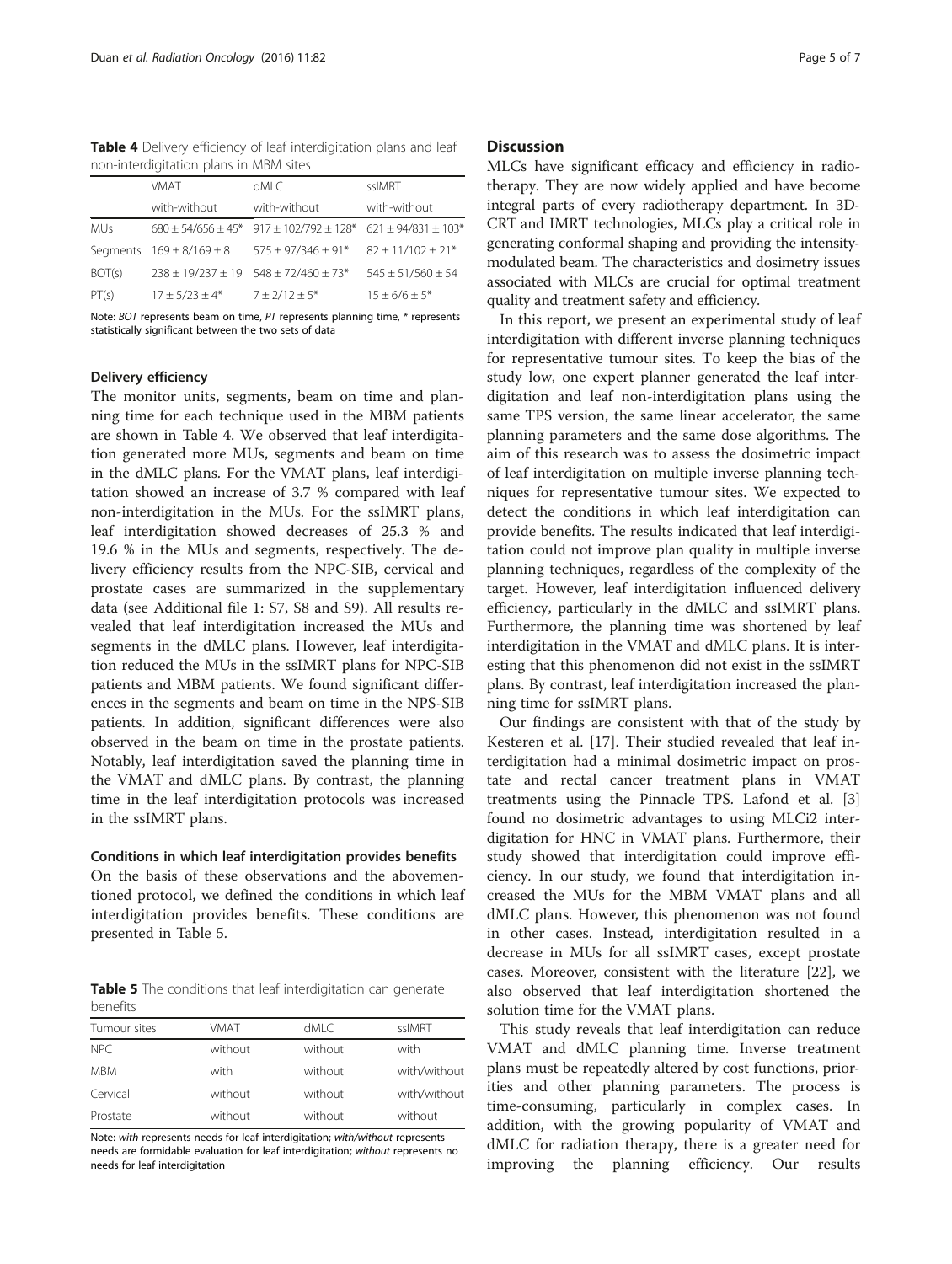Table 4 Delivery efficiency of leaf interdigitation plans and leaf non-interdigitation plans in MBM sites

|            | <b>VMAT</b>                    | dMLC                                                               | ssIMRT                  |
|------------|--------------------------------|--------------------------------------------------------------------|-------------------------|
|            | with-without                   | with-without                                                       | with-without            |
| <b>MUs</b> |                                | $680 \pm 54/656 \pm 45$ * 917 ± 102/792 ± 128* 621 ± 94/831 ± 103* |                         |
|            | Segments $169 \pm 8/169 \pm 8$ | $575 \pm 97/346 \pm 91*$                                           | $82 \pm 11/102 \pm 21*$ |
| BOT(s)     |                                | $238 \pm 19/237 \pm 19$ 548 $\pm 72/460 \pm 73$ *                  | $545 \pm 51/560 \pm 54$ |
| PT(s)      | $17 \pm 5/23 \pm 4*$           | $7 \pm 2/12 \pm 5^*$                                               | $15 \pm 6/6 \pm 5*$     |

Note: BOT represents beam on time, PT represents planning time, \* represents statistically significant between the two sets of data

#### Delivery efficiency

The monitor units, segments, beam on time and planning time for each technique used in the MBM patients are shown in Table 4. We observed that leaf interdigitation generated more MUs, segments and beam on time in the dMLC plans. For the VMAT plans, leaf interdigitation showed an increase of 3.7 % compared with leaf non-interdigitation in the MUs. For the ssIMRT plans, leaf interdigitation showed decreases of 25.3 % and 19.6 % in the MUs and segments, respectively. The delivery efficiency results from the NPC-SIB, cervical and prostate cases are summarized in the supplementary data (see Additional file [1:](#page-5-0) S7, S8 and S9). All results revealed that leaf interdigitation increased the MUs and segments in the dMLC plans. However, leaf interdigitation reduced the MUs in the ssIMRT plans for NPC-SIB patients and MBM patients. We found significant differences in the segments and beam on time in the NPS-SIB patients. In addition, significant differences were also observed in the beam on time in the prostate patients. Notably, leaf interdigitation saved the planning time in the VMAT and dMLC plans. By contrast, the planning time in the leaf interdigitation protocols was increased in the ssIMRT plans.

#### Conditions in which leaf interdigitation provides benefits

On the basis of these observations and the abovementioned protocol, we defined the conditions in which leaf interdigitation provides benefits. These conditions are presented in Table 5.

Table 5 The conditions that leaf interdigitation can generate benefits

| Tumour sites | VMAT    | dMI C   | ssIMRT       |
|--------------|---------|---------|--------------|
| <b>NPC</b>   | without | without | with         |
| <b>MBM</b>   | with    | without | with/without |
| Cervical     | without | without | with/without |
| Prostate     | without | without | without      |

Note: with represents needs for leaf interdigitation; with/without represents needs are formidable evaluation for leaf interdigitation; without represents no needs for leaf interdigitation

#### **Discussion**

MLCs have significant efficacy and efficiency in radiotherapy. They are now widely applied and have become integral parts of every radiotherapy department. In 3D-CRT and IMRT technologies, MLCs play a critical role in generating conformal shaping and providing the intensitymodulated beam. The characteristics and dosimetry issues associated with MLCs are crucial for optimal treatment quality and treatment safety and efficiency.

In this report, we present an experimental study of leaf interdigitation with different inverse planning techniques for representative tumour sites. To keep the bias of the study low, one expert planner generated the leaf interdigitation and leaf non-interdigitation plans using the same TPS version, the same linear accelerator, the same planning parameters and the same dose algorithms. The aim of this research was to assess the dosimetric impact of leaf interdigitation on multiple inverse planning techniques for representative tumour sites. We expected to detect the conditions in which leaf interdigitation can provide benefits. The results indicated that leaf interdigitation could not improve plan quality in multiple inverse planning techniques, regardless of the complexity of the target. However, leaf interdigitation influenced delivery efficiency, particularly in the dMLC and ssIMRT plans. Furthermore, the planning time was shortened by leaf interdigitation in the VMAT and dMLC plans. It is interesting that this phenomenon did not exist in the ssIMRT plans. By contrast, leaf interdigitation increased the planning time for ssIMRT plans.

Our findings are consistent with that of the study by Kesteren et al. [\[17](#page-6-0)]. Their studied revealed that leaf interdigitation had a minimal dosimetric impact on prostate and rectal cancer treatment plans in VMAT treatments using the Pinnacle TPS. Lafond et al. [\[3](#page-6-0)] found no dosimetric advantages to using MLCi2 interdigitation for HNC in VMAT plans. Furthermore, their study showed that interdigitation could improve efficiency. In our study, we found that interdigitation increased the MUs for the MBM VMAT plans and all dMLC plans. However, this phenomenon was not found in other cases. Instead, interdigitation resulted in a decrease in MUs for all ssIMRT cases, except prostate cases. Moreover, consistent with the literature [[22\]](#page-6-0), we also observed that leaf interdigitation shortened the solution time for the VMAT plans.

This study reveals that leaf interdigitation can reduce VMAT and dMLC planning time. Inverse treatment plans must be repeatedly altered by cost functions, priorities and other planning parameters. The process is time-consuming, particularly in complex cases. In addition, with the growing popularity of VMAT and dMLC for radiation therapy, there is a greater need for improving the planning efficiency. Our results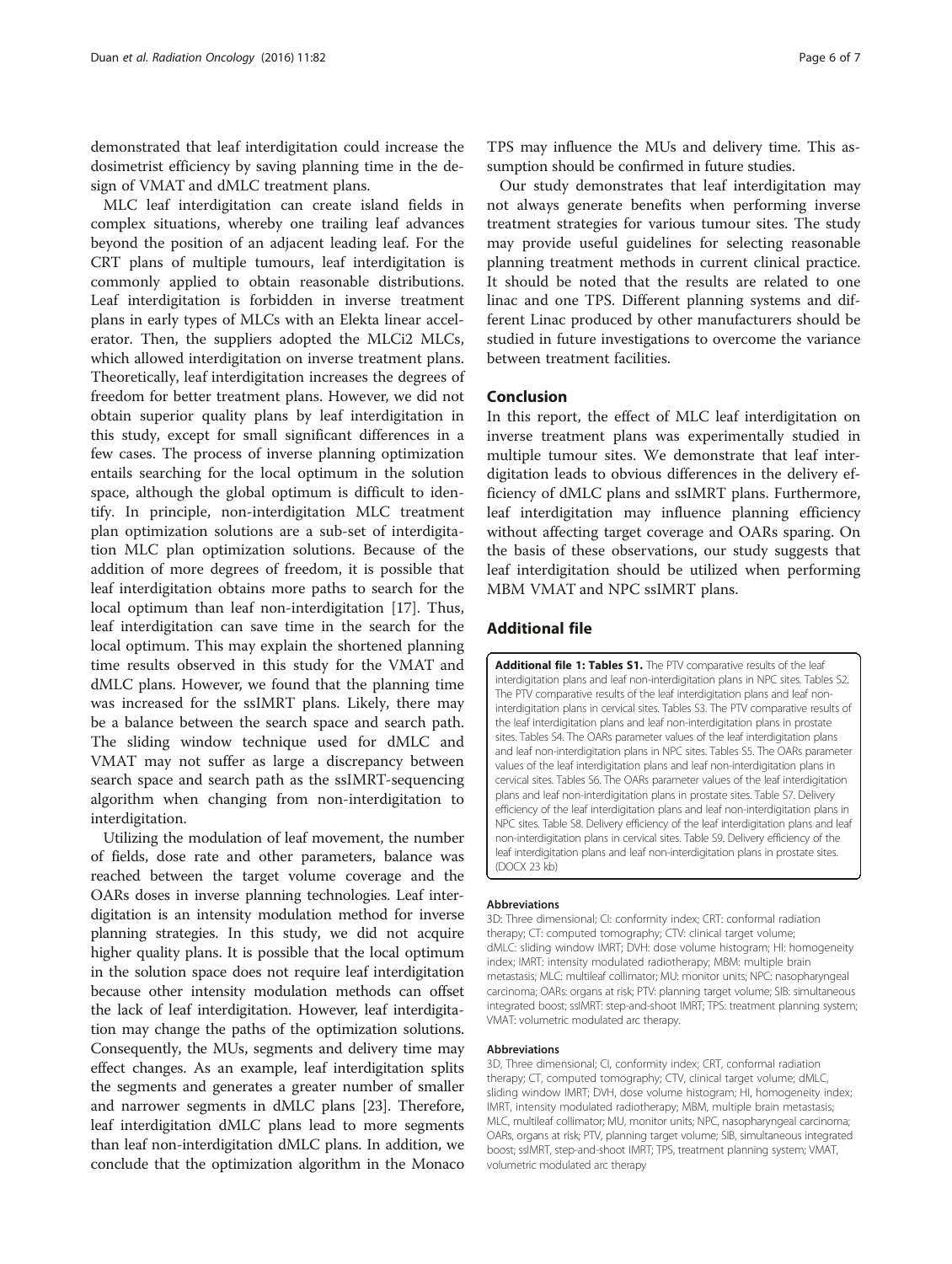<span id="page-5-0"></span>demonstrated that leaf interdigitation could increase the dosimetrist efficiency by saving planning time in the design of VMAT and dMLC treatment plans.

MLC leaf interdigitation can create island fields in complex situations, whereby one trailing leaf advances beyond the position of an adjacent leading leaf. For the CRT plans of multiple tumours, leaf interdigitation is commonly applied to obtain reasonable distributions. Leaf interdigitation is forbidden in inverse treatment plans in early types of MLCs with an Elekta linear accelerator. Then, the suppliers adopted the MLCi2 MLCs, which allowed interdigitation on inverse treatment plans. Theoretically, leaf interdigitation increases the degrees of freedom for better treatment plans. However, we did not obtain superior quality plans by leaf interdigitation in this study, except for small significant differences in a few cases. The process of inverse planning optimization entails searching for the local optimum in the solution space, although the global optimum is difficult to identify. In principle, non-interdigitation MLC treatment plan optimization solutions are a sub-set of interdigitation MLC plan optimization solutions. Because of the addition of more degrees of freedom, it is possible that leaf interdigitation obtains more paths to search for the local optimum than leaf non-interdigitation [[17\]](#page-6-0). Thus, leaf interdigitation can save time in the search for the local optimum. This may explain the shortened planning time results observed in this study for the VMAT and dMLC plans. However, we found that the planning time was increased for the ssIMRT plans. Likely, there may be a balance between the search space and search path. The sliding window technique used for dMLC and VMAT may not suffer as large a discrepancy between search space and search path as the ssIMRT-sequencing algorithm when changing from non-interdigitation to interdigitation.

Utilizing the modulation of leaf movement, the number of fields, dose rate and other parameters, balance was reached between the target volume coverage and the OARs doses in inverse planning technologies. Leaf interdigitation is an intensity modulation method for inverse planning strategies. In this study, we did not acquire higher quality plans. It is possible that the local optimum in the solution space does not require leaf interdigitation because other intensity modulation methods can offset the lack of leaf interdigitation. However, leaf interdigitation may change the paths of the optimization solutions. Consequently, the MUs, segments and delivery time may effect changes. As an example, leaf interdigitation splits the segments and generates a greater number of smaller and narrower segments in dMLC plans [[23](#page-6-0)]. Therefore, leaf interdigitation dMLC plans lead to more segments than leaf non-interdigitation dMLC plans. In addition, we conclude that the optimization algorithm in the Monaco

TPS may influence the MUs and delivery time. This assumption should be confirmed in future studies.

Our study demonstrates that leaf interdigitation may not always generate benefits when performing inverse treatment strategies for various tumour sites. The study may provide useful guidelines for selecting reasonable planning treatment methods in current clinical practice. It should be noted that the results are related to one linac and one TPS. Different planning systems and different Linac produced by other manufacturers should be studied in future investigations to overcome the variance between treatment facilities.

#### Conclusion

In this report, the effect of MLC leaf interdigitation on inverse treatment plans was experimentally studied in multiple tumour sites. We demonstrate that leaf interdigitation leads to obvious differences in the delivery efficiency of dMLC plans and ssIMRT plans. Furthermore, leaf interdigitation may influence planning efficiency without affecting target coverage and OARs sparing. On the basis of these observations, our study suggests that leaf interdigitation should be utilized when performing MBM VMAT and NPC ssIMRT plans.

#### Additional file

[Additional file 1: Tables S1.](dx.doi.org/10.1186/s13014-016-0655-1) The PTV comparative results of the leaf interdigitation plans and leaf non-interdigitation plans in NPC sites. Tables S2. The PTV comparative results of the leaf interdigitation plans and leaf noninterdigitation plans in cervical sites. Tables S3. The PTV comparative results of the leaf interdigitation plans and leaf non-interdigitation plans in prostate sites. Tables S4. The OARs parameter values of the leaf interdigitation plans and leaf non-interdigitation plans in NPC sites. Tables S5. The OARs parameter values of the leaf interdigitation plans and leaf non-interdigitation plans in cervical sites. Tables S6. The OARs parameter values of the leaf interdigitation plans and leaf non-interdigitation plans in prostate sites. Table S7. Delivery efficiency of the leaf interdigitation plans and leaf non-interdigitation plans in NPC sites. Table S8. Delivery efficiency of the leaf interdigitation plans and leaf non-interdigitation plans in cervical sites. Table S9. Delivery efficiency of the leaf interdigitation plans and leaf non-interdigitation plans in prostate sites. (DOCX 23 kb)

#### Abbreviations

3D: Three dimensional; CI: conformity index; CRT: conformal radiation therapy; CT: computed tomography; CTV: clinical target volume; dMLC: sliding window IMRT; DVH: dose volume histogram; HI: homogeneity index; IMRT: intensity modulated radiotherapy; MBM: multiple brain metastasis; MLC: multileaf collimator; MU: monitor units; NPC: nasopharyngeal carcinoma; OARs: organs at risk; PTV: planning target volume; SIB: simultaneous integrated boost; ssIMRT: step-and-shoot IMRT; TPS: treatment planning system; VMAT: volumetric modulated arc therapy.

#### Abbreviations

3D, Three dimensional; CI, conformity index; CRT, conformal radiation therapy; CT, computed tomography; CTV, clinical target volume; dMLC, sliding window IMRT; DVH, dose volume histogram; HI, homogeneity index; IMRT, intensity modulated radiotherapy; MBM, multiple brain metastasis; MLC, multileaf collimator; MU, monitor units; NPC, nasopharyngeal carcinoma; OARs, organs at risk; PTV, planning target volume; SIB, simultaneous integrated boost; ssIMRT, step-and-shoot IMRT; TPS, treatment planning system; VMAT, volumetric modulated arc therapy